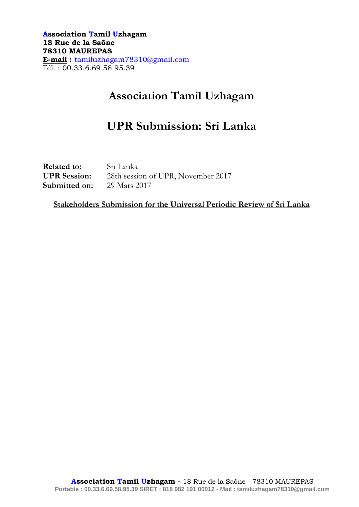**Association Tamil Uzhagam 18 Rue de la Saône 78310 MAUREPAS E-mail :** tamiluzhagam78310@gmail.com Tél. : 00.33.6.69.58.95.39

## **Association Tamil Uzhagam**

# **UPR Submission: Sri Lanka**

**Related to:** Sri Lanka **UPR Session:** 28th session of UPR, November 2017 **Submitted on:** 29 Mars 2017

**Stakeholders Submission for the Universal Periodic Review of Sri Lanka**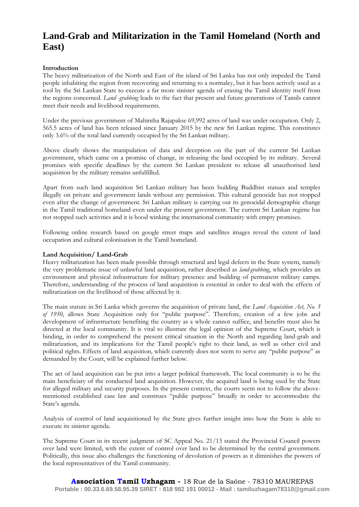### **Land-Grab and Militarization in the Tamil Homeland (North and East)**

#### **Introduction**

The heavy militarization of the North and East of the island of Sri Lanka has not only impeded the Tamil people inhabiting the region from recovering and returning to a normalcy, but it has been actively used as a tool by the Sri Lankan State to execute a far more sinister agenda of erasing the Tamil identity itself from the regions concerned. *Land -grabbing* leads to the fact that present and future generations of Tamils cannot meet their needs and livelihood requirements.

Under the previous government of Mahintha Rajapakse 69,992 acres of land was under occupation. Only 2, 565.5 acres of land has been released since January 2015 by the new Sri Lankan regime. This constitutes only 3.6% of the total land currently occupied by the Sri Lankan military.

Above clearly shows the manipulation of data and deception on the part of the current Sri Lankan government, which came on a promise of change, in releasing the land occupied by its military. Several promises with specific deadlines by the current Sri Lankan president to release all unauthorised land acquisition by the military remains unfulfilled.

Apart from such land acquisition Sri Lankan military has been building Buddhist statues and temples illegally on private and government lands without any permission. This cultural genocide has not stopped even after the change of government. Sri Lankan military is carrying out its genocidal demographic change in the Tamil traditional homeland even under the present government. The current Sri Lankan regime has not stopped such activities and it is hood winking the international community with empty promises.

Following online research based on google street maps and satellites images reveal the extent of land occupation and cultural colonisation in the Tamil homeland.

#### **Land Acquisition/ Land-Grab**

Heavy militarization has been made possible through structural and legal defects in the State system, namely the very problematic issue of unlawful land acquisition, rather described as *land-grabbing*, which provides an environment and physical infrastructure for military presence and building of permanent military camps. Therefore, understanding of the process of land acquisition is essential in order to deal with the effects of militarization on the livelihood of those affected by it.

The main statute in Sri Lanka which governs the acquisition of private land, the *Land Acquisition Act, No. 5 of 1950*, allows State Acquisition only for "public purpose". Therefore, creation of a few jobs and development of infrastructure benefiting the country as a whole cannot suffice, and benefits must also be directed at the local community. It is vital to illustrate the legal opinion of the Supreme Court, which is binding, in order to comprehend the present critical situation in the North and regarding land-grab and militarization, and its implications for the Tamil people's right to their land, as well as other civil and political rights. Effects of land acquisition, which currently does not seem to serve any "public purpose" as demanded by the Court, will be explained further below.

The act of land acquisition can be put into a larger political framework. The local community is to be the main beneficiary of the conducted land acquisition. However, the acquired land is being used by the State for alleged military and security purposes. In the present context, the courts seem not to follow the abovementioned established case law and construes "public purpose" broadly in order to accommodate the State's agenda.

Analysis of control of land acquisitioned by the State gives further insight into how the State is able to execute its sinister agenda.

The Supreme Court in its recent judgment of SC Appeal No. 21/13 stated the Provincial Council powers over land were limited, with the extent of control over land to be determined by the central government. Politically, this issue also challenges the functioning of devolution of powers as it diminishes the powers of the local representatives of the Tamil community.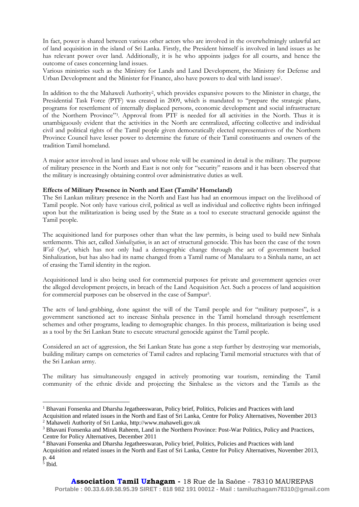In fact, power is shared between various other actors who are involved in the overwhelmingly unlawful act of land acquisition in the island of Sri Lanka. Firstly, the President himself is involved in land issues as he has relevant power over land. Additionally, it is he who appoints judges for all courts, and hence the outcome of cases concerning land issues.

Various ministries such as the Ministry for Lands and Land Development, the Ministry for Defense and Urban Development and the Minister for Finance, also have powers to deal with land issues<sup>1</sup>.

In addition to the the Mahaweli Authority<sup>2</sup>, which provides expansive powers to the Minister in charge, the Presidential Task Force (PTF) was created in 2009, which is mandated to "prepare the strategic plans, programs for resettlement of internally displaced persons, economic development and social infrastructure of the Northern Province"<sup>3</sup> . Approval from PTF is needed for all activities in the North. Thus it is unambiguously evident that the activities in the North are centralized, affecting collective and individual civil and political rights of the Tamil people given democratically elected representatives of the Northern Province Council have lesser power to determine the future of their Tamil constituents and owners of the tradition Tamil homeland.

A major actor involved in land issues and whose role will be examined in detail is the military. The purpose of military presence in the North and East is not only for "security" reasons and it has been observed that the military is increasingly obtaining control over administrative duties as well.

#### **Effects of Military Presence in North and East (Tamils' Homeland)**

The Sri Lankan military presence in the North and East has had an enormous impact on the livelihood of Tamil people. Not only have various civil, political as well as individual and collective rights been infringed upon but the militarization is being used by the State as a tool to execute structural genocide against the Tamil people.

The acquisitioned land for purposes other than what the law permits, is being used to build new Sinhala settlements. This act, called *Sinhalization*, is an act of structural genocide. This has been the case of the town Weli Oya<sup>4</sup>, which has not only had a demographic change through the act of government backed Sinhalization, but has also had its name changed from a Tamil name of Manalaaru to a Sinhala name, an act of erasing the Tamil identity in the region.

Acquisitioned land is also being used for commercial purposes for private and government agencies over the alleged development projects, in breach of the Land Acquisition Act. Such a process of land acquisition for commercial purposes can be observed in the case of Sampur<sup>5</sup>.

The acts of land-grabbing, done against the will of the Tamil people and for "military purposes", is a government sanctioned act to increase Sinhala presence in the Tamil homeland through resettlement schemes and other programs, leading to demographic changes. In this process, militarization is being used as a tool by the Sri Lankan State to execute structural genocide against the Tamil people.

Considered an act of aggression, the Sri Lankan State has gone a step further by destroying war memorials, building military camps on cemeteries of Tamil cadres and replacing Tamil memorial structures with that of the Sri Lankan army.

The military has simultaneously engaged in actively promoting war tourism, reminding the Tamil community of the ethnic divide and projecting the Sinhalese as the victors and the Tamils as the

 $\overline{a}$ 

<sup>&</sup>lt;sup>1</sup> Bhavani Fonsenka and Dharsha Jegatheeswaran, Policy brief, Politics, Policies and Practices with land

Acquisition and related issues in the North and East of Sri Lanka, Centre for Policy Alternatives, November 2013 <sup>2</sup> Mahaweli Authority of Sri Lanka, http://www.mahaweli.gov.uk

<sup>3</sup> Bhavani Fonsenka and Mirak Raheem, Land in the Northern Province: Post-War Politics, Policy and Practices, Centre for Policy Alternatives, December 2011

<sup>4</sup> Bhavani Fonsenka and Dharsha Jegatheeswaran, Policy brief, Politics, Policies and Practices with land

Acquisition and related issues in the North and East of Sri Lanka, Centre for Policy Alternatives, November 2013, p. 44

<sup>5</sup> Ibid.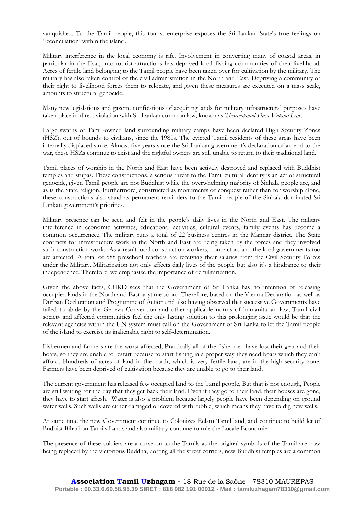vanquished. To the Tamil people, this tourist enterprise exposes the Sri Lankan State's true feelings on 'reconciliation' within the island.

Military interference in the local economy is rife. Involvement in converting many of coastal areas, in particular in the Esat, into tourist attractions has deprived local fishing communities of their livelihood. Acres of fertile land belonging to the Tamil people have been taken over for cultivation by the military. The military has also taken control of the civil administration in the North and East. Depriving a community of their right to livelihood forces them to relocate, and given these measures are executed on a mass scale, amounts to structural genocide.

Many new legislations and gazette notifications of acquiring lands for military infrastructural purposes have taken place in direct violation with Sri Lankan common law, known as *Thesavalamai Dasa Valami Law*.

Large swaths of Tamil-owned land surrounding military camps have been declared High Security Zones (HSZ), out of bounds to civilians, since the 1980s. The evicted Tamil residents of these areas have been internally displaced since. Almost five years since the Sri Lankan government's declaration of an end to the war, these HSZs continue to exist and the rightful owners are still unable to return to their traditional land.

Tamil places of worship in the North and East have been actively destroyed and replaced with Buddhist temples and stupas. These constructions, a serious threat to the Tamil cultural identity is an act of structural genocide, given Tamil people are not Buddhist while the overwhelming majority of Sinhala people are, and as is the State religion. Furthermore, constructed as monuments of conquest rather than for worship alone, these constructions also stand as permanent reminders to the Tamil people of the Sinhala-dominated Sri Lankan government's priorities.

Military presence can be seen and felt in the people's daily lives in the North and East. The military interference in economic activities, educational activities, cultural events, family events has become a common occurrence.i The military runs a total of 22 business centres in the Mannar district. The State contracts for infrastructure work in the North and East are being taken by the forces and they involved such construction work. As a result local construction workers, contractors and the local governments too are affected. A total of 588 preschool teachers are receiving their salaries from the Civil Security Forces under the Military. Militarization not only affects daily lives of the people but also it's a hindrance to their independence. Therefore, we emphasize the importance of demilitarization.

Given the above facts, CHRD sees that the Government of Sri Lanka has no intention of releasing occupied lands in the North and East anytime soon. Therefore, based on the Vienna Declaration as well as Durban Declaration and Programme of Action and also having observed that successive Governments have failed to abide by the Geneva Convention and other applicable norms of humanitarian law; Tamil civil society and affected communities feel the only lasting solution to this prolonging issue would be that the relevant agencies within the UN system must call on the Government of Sri Lanka to let the Tamil people of the island to exercise its inalienable right to self-determination.

Fishermen and farmers are the worst affected, Practically all of the fishermen have lost their gear and their boats, so they are unable to restart because to start fishing in a proper way they need boats which they can't afford. Hundreds of acres of land in the north, which is very fertile land, are in the high-security zone. Farmers have been deprived of cultivation because they are unable to go to their land.

The current government has released few occupied land to the Tamil people, But that is not enough, People are still waiting for the day that they get back their land. Even if they go to their land, their houses are gone, they have to start afresh. Water is also a problem because largely people have been depending on ground water wells. Such wells are either damaged or covered with rubble, which means they have to dig new wells.

At same time the new Government continue to Colonizes Eelam Tamil land, and continue to build let of Budhist Bihari on Tamils Lands and also military continue to rule the Locale Economie.

The presence of these soldiers are a curse on to the Tamils as the original symbols of the Tamil are now being replaced by the victorious Buddha, dotting all the street corners, new Buddhist temples are a common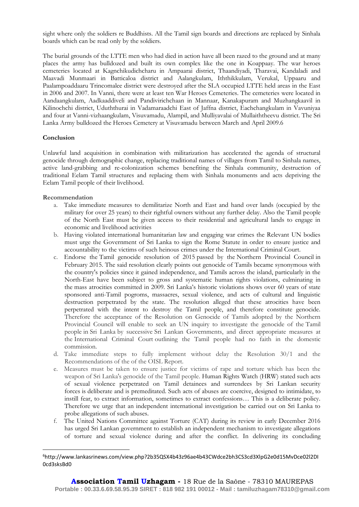sight where only the soldiers re Buddhists. All the Tamil sign boards and directions are replaced by Sinhala boards which can be read only by the soldiers.

The burial grounds of the LTTE men who had died in action have all been razed to the ground and at many places the army has bulldozed and built its own complex like the one in Koappaay. The war heroes cemeteries located at Kagnchikudichcharu in Ampaarai district, Thaandiyadi, Tharavai, Kandaladi and Maavadi Munmaari in Batticaloa district and Aalangkulam, Iththikkulam, Verukal, Uppaaru and Paalampoaddaaru Trincomalee district were destroyed after the SLA occupied LTTE held areas in the East in 2006 and 2007. In Vanni, there were at least ten War Heroes Cemeteries. The cemeteries were located in Aandaangkulam, Aadkaaddiveli and Pandivirichchaan in Mannaar, Kanakapuram and Muzhangkaavil in Kilinochchi district, Uduththurai in Vadamaraadchi East of Jaffna district, Eachchangkulam in Vavuniyaa and four at Vanni-vizhaangkulam, Visuvamadu, Alampil, and Mulliyavalai of Mullaiththeevu district. The Sri Lanka Army bulldozed the Heroes Cemetery at Visuvamadu between March and April 2009.6

#### **Conclusion**

Unlawful land acquisition in combination with militarization has accelerated the agenda of structural genocide through demographic change, replacing traditional names of villages from Tamil to Sinhala names, active land-grabbing and re-colonization schemes benefiting the Sinhala community, destruction of traditional Eelam Tamil structures and replacing them with Sinhala monuments and acts depriving the Eelam Tamil people of their livelihood.

#### **Recommendation**

 $\overline{a}$ 

- a. Take immediate measures to demilitarize North and East and hand over lands (occupied by the military for over 25 years) to their rightful owners without any further delay. Also the Tamil people of the North East must be given access to their residential and agricultural lands to engage in economic and livelihood activities
- b. Having violated international humanitarian law and engaging war crimes the Relevant UN bodies must urge the Government of Sri Lanka to sign the Rome Statute in order to ensure justice and accountability to the victims of such heinous crimes under the International Criminal Court.
- c. Endorse the Tamil genocide resolution of 2015 passed by the Northern Provincial Council in February 2015. The said resolution clearly points out genocide of Tamils became synonymous with the country's policies since it gained independence, and Tamils across the island, particularly in the North-East have been subject to gross and systematic human rights violations, culminating in the mass atrocities committed in 2009. Sri Lanka's historic violations shows over 60 years of state sponsored anti-Tamil pogroms, massacres, sexual violence, and acts of cultural and linguistic destruction perpetrated by the state. The resolution alleged that these atrocities have been perpetrated with the intent to destroy the Tamil people, and therefore constitute genocide. Therefore the acceptance of the Resolution on Genocide of Tamils adopted by the Northern Provincial Council will enable to seek an UN inquiry to investigate the genocide of the Tamil people in Sri Lanka by successive Sri Lankan Governments, and direct appropriate measures at the International Criminal Court outlining the Tamil people had no faith in the domestic commission.
- d. Take immediate steps to fully implement without delay the Resolution 30/1 and the Recommendations of the of the OISL Report.
- e. Measures must be taken to ensure justice for victims of rape and torture which has been the weapon of Sri Lanka's genocide of the Tamil people. Human Rights Watch (HRW) stated such acts of sexual violence perpetrated on Tamil detainees and surrendees by Sri Lankan security forces is deliberate and is premeditated. Such acts of abuses are coercive, designed to intimidate, to instill fear, to extract information, sometimes to extract confessions… This is a deliberate policy. Therefore we urge that an independent international investigation be carried out on Sri Lanka to probe allegations of such abuses.
- f. The United Nations Committee against Torture (CAT) during its review in early December 2016 has urged Sri Lankan government to establish an independent mechanism to investigate allegations of torture and sexual violence during and after the conflict. In delivering its concluding

<sup>6</sup>http://www.lankasrinews.com/view.php?2b35QSX4b43z96ae4b43CWdce2bh3CS3cd3XlpG2e0d15MvDce02l2DI 0cd3sksBd0